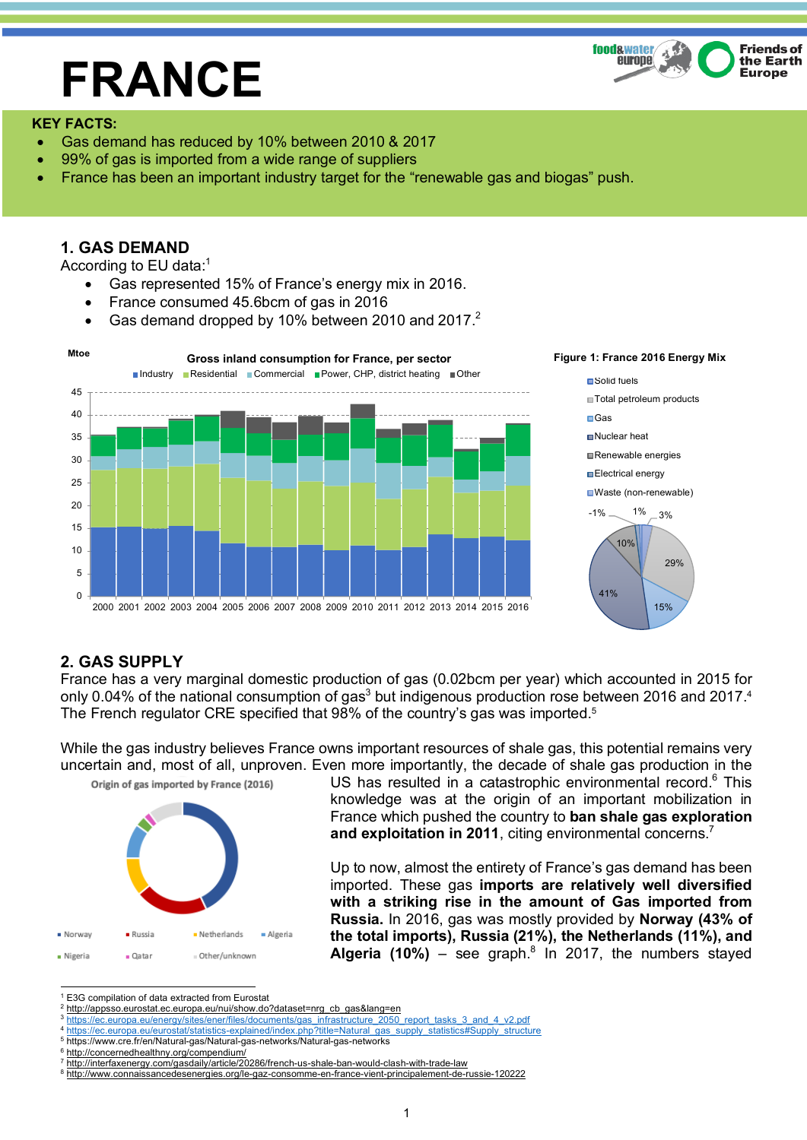# **FRANCE**



## **KEY FACTS:**

- Gas demand has reduced by 10% between 2010 & 2017
- 99% of gas is imported from a wide range of suppliers
- France has been an important industry target for the "renewable gas and biogas" push.

# **1. GAS DEMAND**

According to EU data:1

- Gas represented 15% of France's energy mix in 2016.
- France consumed 45.6bcm of gas in 2016
- Gas demand dropped by 10% between 2010 and 2017. $^2$



#### **Figure 1: France 2016 Energy Mix**



# **2. GAS SUPPLY**

France has a very marginal domestic production of gas (0.02bcm per year) which accounted in 2015 for only 0.04% of the national consumption of gas<sup>3</sup> but indigenous production rose between 2016 and 2017.<sup>4</sup> The French regulator CRE specified that 98% of the country's gas was imported.5

While the gas industry believes France owns important resources of shale gas, this potential remains very uncertain and, most of all, unproven. Even more importantly, the decade of shale gas production in the



US has resulted in a catastrophic environmental record.<sup>6</sup> This knowledge was at the origin of an important mobilization in France which pushed the country to **ban shale gas exploration and exploitation in 2011**, citing environmental concerns.<sup>7</sup>

Up to now, almost the entirety of France's gas demand has been imported. These gas **imports are relatively well diversified with a striking rise in the amount of Gas imported from Russia.** In 2016, gas was mostly provided by **Norway (43% of the total imports), Russia (21%), the Netherlands (11%), and Algeria (10%)** – see graph.<sup>8</sup> In 2017, the numbers stayed

- <sup>2</sup> http://appsso.eurostat.ec.europa.eu/nui/show.do?dataset=nrg\_cb\_gas&lang=en
- <sup>3</sup> https://ec.europa.eu/energy/sites/ener/files/documents/gas\_infrastructure\_2050\_report\_tasks\_3\_and\_4\_v2.pdf

<sup>5</sup> https://www.cre.fr/en/Natural-gas/Natural-gas-networks/Natural-gas-networks

<sup>7</sup> http://interfaxenergy.com/gasdaily/article/20286/french-us-shale-ban-would-clash-with-trade-law

 <sup>1</sup> E3G compilation of data extracted from Eurostat

<sup>4</sup> https://ec.europa.eu/eurostat/statistics-explained/index.php?title=Natural\_gas\_supply\_statistics#Supply\_structure

<sup>6</sup> http://concernedhealthny.org/compendium/

<sup>8</sup> http://www.connaissancedesenergies.org/le-gaz-consomme-en-france-vient-principalement-de-russie-120222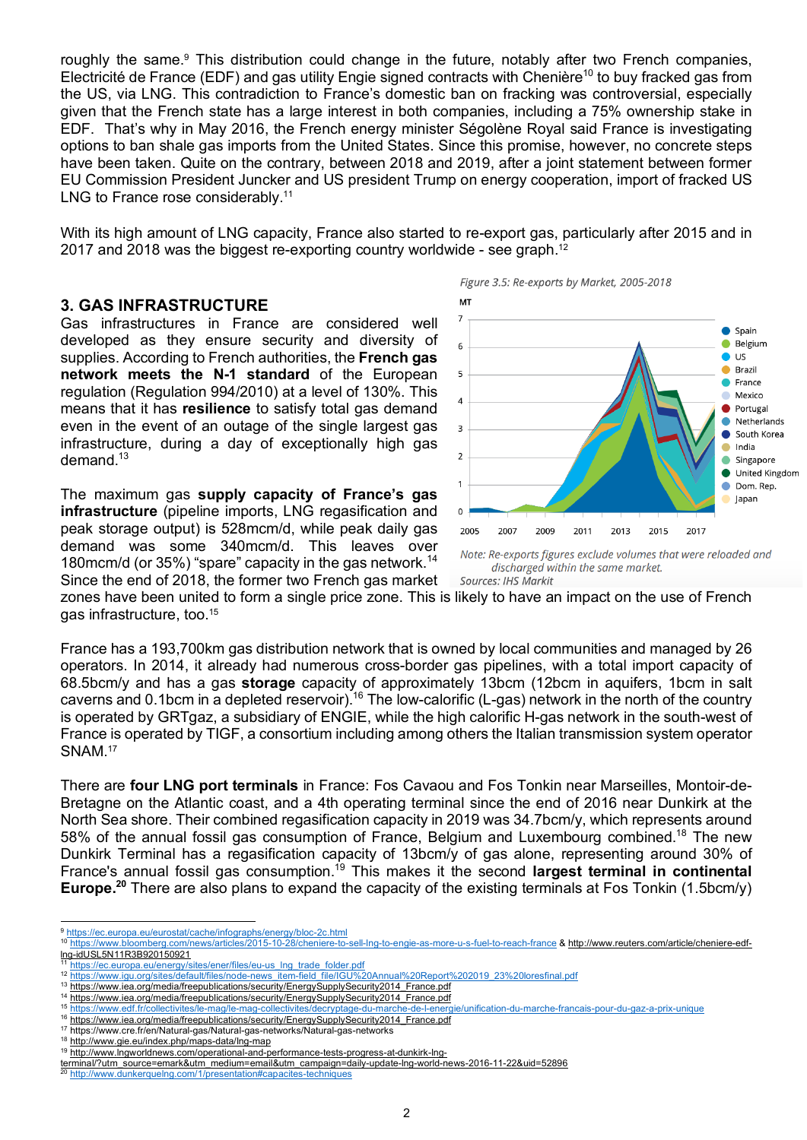roughly the same.<sup>9</sup> This distribution could change in the future, notably after two French companies, Electricité de France (EDF) and gas utility Engie signed contracts with Chenière<sup>10</sup> to buy fracked gas from the US, via LNG. This contradiction to France's domestic ban on fracking was controversial, especially given that the French state has a large interest in both companies, including a 75% ownership stake in EDF. That's why in May 2016, the French energy minister Ségolène Royal said France is investigating options to ban shale gas imports from the United States. Since this promise, however, no concrete steps have been taken. Quite on the contrary, between 2018 and 2019, after a joint statement between former EU Commission President Juncker and US president Trump on energy cooperation, import of fracked US LNG to France rose considerably.<sup>11</sup>

With its high amount of LNG capacity, France also started to re-export gas, particularly after 2015 and in 2017 and 2018 was the biggest re-exporting country worldwide - see graph.<sup>12</sup>

## **3. GAS INFRASTRUCTURE**

Gas infrastructures in France are considered well developed as they ensure security and diversity of supplies. According to French authorities, the **French gas network meets the N-1 standard** of the European regulation (Regulation 994/2010) at a level of 130%. This means that it has **resilience** to satisfy total gas demand even in the event of an outage of the single largest gas infrastructure, during a day of exceptionally high gas demand.<sup>13</sup>

The maximum gas **supply capacity of France's gas infrastructure** (pipeline imports, LNG regasification and peak storage output) is 528mcm/d, while peak daily gas demand was some 340mcm/d. This leaves over 180mcm/d (or 35%) "spare" capacity in the gas network.<sup>14</sup> Since the end of 2018, the former two French gas market Figure 3.5: Re-exports by Market, 2005-2018



discharged within the same market. Sources: IHS Markit

zones have been united to form a single price zone. This is likely to have an impact on the use of French gas infrastructure, too.15

France has a 193,700km gas distribution network that is owned by local communities and managed by 26 operators. In 2014, it already had numerous cross-border gas pipelines, with a total import capacity of 68.5bcm/y and has a gas **storage** capacity of approximately 13bcm (12bcm in aquifers, 1bcm in salt caverns and 0.1bcm in a depleted reservoir).<sup>16</sup> The low-calorific (L-gas) network in the north of the country is operated by GRTgaz, a subsidiary of ENGIE, while the high calorific H-gas network in the south-west of France is operated by TIGF, a consortium including among others the Italian transmission system operator SNAM.<sup>17</sup>

There are **four LNG port terminals** in France: Fos Cavaou and Fos Tonkin near Marseilles, Montoir-de-Bretagne on the Atlantic coast, and a 4th operating terminal since the end of 2016 near Dunkirk at the North Sea shore. Their combined regasification capacity in 2019 was 34.7bcm/y, which represents around 58% of the annual fossil gas consumption of France, Belgium and Luxembourg combined.<sup>18</sup> The new Dunkirk Terminal has a regasification capacity of 13bcm/y of gas alone, representing around 30% of France's annual fossil gas consumption.19 This makes it the second **largest terminal in continental Europe. <sup>20</sup>** There are also plans to expand the capacity of the existing terminals at Fos Tonkin (1.5bcm/y)

 <sup>9</sup> https://ec.europa.eu/eurostat/cache/infographs/energy/bloc-2c.html

<sup>10</sup> https://www.bloomberg.com/news/articles/2015-10-28/cheniere-to-sell-lng-to-engie-as-more-u-s-fuel-to-reach-france & http://www.reuters.com/article/cheniere-edflng-idUSL5N11R3B920150921

https://ec.europa.eu/energy/sites/ener/files/eu-us\_lng\_trade\_folder.pdf

<sup>12</sup> https://www.igu.org/sites/default/files/node-news\_item-field\_file/IGU%20Annual%20Report%202019\_23%20loresfinal.pdf

<sup>13</sup> https://www.iea.org/media/freepublications/security/EnergySupplySecurity2014\_France.pdf

<sup>&</sup>lt;sup>14</sup> https://www.iea.org/media/freepublications/security/EnergySupplySecurity2014\_France.pdf<br><sup>15</sup> https://www.iea.org/media/freepublications/security/EnergySupplySecurity2014\_France.pdf

<sup>15</sup> https://www.edf.fr/collectivites/le-mag/le-mag-collectivites/decryptage-du-marche-de-l-energie/unification-du-marche-francais-pour-du-gaz-a-prix-unique

<sup>16</sup> https://www.iea.org/media/freepublications/security/EnergySupplySecurity2014\_France.pdf

<sup>17</sup> https://www.cre.fr/en/Natural-gas/Natural-gas-networks/Natural-gas-networks

<sup>18</sup> http://www.gie.eu/index.php/maps-data/lng-map

<sup>19</sup> http://www.lngworldnews.com/operational-and-performance-tests-progress-at-dunkirk-lng-

terminal/?utm\_source=emark&utm\_medium=email&utm\_medium=email@utm\_source=esus-progress-ac-uurintin-ing-<br>20 http://www.dunkerquelng.com/1/presentation#capacites-techniques<br>20 http://www.dunkerquelng.com/1/presentation#capaci